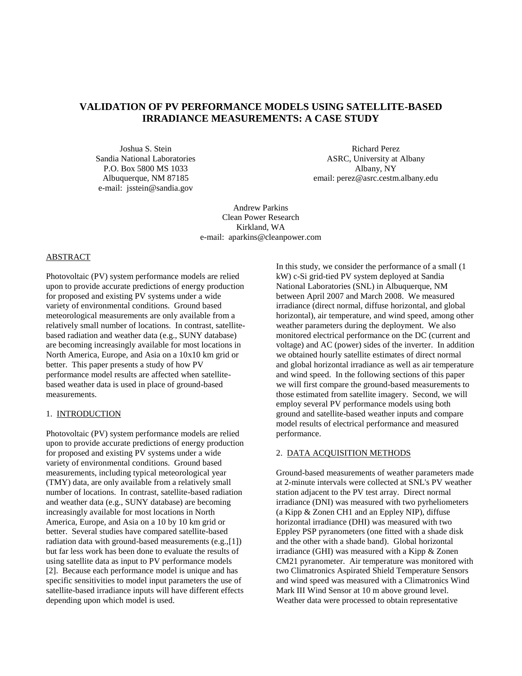# **VALIDATION OF PV PERFORMANCE MODELS USING SATELLITE-BASED IRRADIANCE MEASUREMENTS: A CASE STUDY**

Joshua S. Stein Sandia National Laboratories P.O. Box 5800 MS 1033 Albuquerque, NM 87185 e-mail: jsstein@sandia.gov

Richard Perez ASRC, University at Albany Albany, NY email: perez@asrc.cestm.albany.edu

Andrew Parkins Clean Power Research Kirkland, WA e-mail: aparkins@cleanpower.com

#### ABSTRACT

Photovoltaic (PV) system performance models are relied upon to provide accurate predictions of energy production for proposed and existing PV systems under a wide variety of environmental conditions. Ground based meteorological measurements are only available from a relatively small number of locations. In contrast, satellitebased radiation and weather data (e.g., SUNY database) are becoming increasingly available for most locations in North America, Europe, and Asia on a 10x10 km grid or better. This paper presents a study of how PV performance model results are affected when satellitebased weather data is used in place of ground-based measurements.

#### 1. INTRODUCTION

Photovoltaic (PV) system performance models are relied upon to provide accurate predictions of energy production for proposed and existing PV systems under a wide variety of environmental conditions. Ground based measurements, including typical meteorological year (TMY) data, are only available from a relatively small number of locations. In contrast, satellite-based radiation and weather data (e.g., SUNY database) are becoming increasingly available for most locations in North America, Europe, and Asia on a 10 by 10 km grid or better. Several studies have compared satellite-based radiation data with ground-based measurements (e.g.,[1]) but far less work has been done to evaluate the results of using satellite data as input to PV performance models [2]. Because each performance model is unique and has specific sensitivities to model input parameters the use of satellite-based irradiance inputs will have different effects depending upon which model is used.

In this study, we consider the performance of a small (1 kW) c-Si grid-tied PV system deployed at Sandia National Laboratories (SNL) in Albuquerque, NM between April 2007 and March 2008. We measured irradiance (direct normal, diffuse horizontal, and global horizontal), air temperature, and wind speed, among other weather parameters during the deployment. We also monitored electrical performance on the DC (current and voltage) and AC (power) sides of the inverter. In addition we obtained hourly satellite estimates of direct normal and global horizontal irradiance as well as air temperature and wind speed. In the following sections of this paper we will first compare the ground-based measurements to those estimated from satellite imagery. Second, we will employ several PV performance models using both ground and satellite-based weather inputs and compare model results of electrical performance and measured performance.

### 2. DATA ACQUISITION METHODS

Ground-based measurements of weather parameters made at 2-minute intervals were collected at SNL's PV weather station adjacent to the PV test array. Direct normal irradiance (DNI) was measured with two pyrheliometers (a Kipp & Zonen CH1 and an Eppley NIP), diffuse horizontal irradiance (DHI) was measured with two Eppley PSP pyranometers (one fitted with a shade disk and the other with a shade band). Global horizontal irradiance (GHI) was measured with a Kipp & Zonen CM21 pyranometer. Air temperature was monitored with two Climatronics Aspirated Shield Temperature Sensors and wind speed was measured with a Climatronics Wind Mark III Wind Sensor at 10 m above ground level. Weather data were processed to obtain representative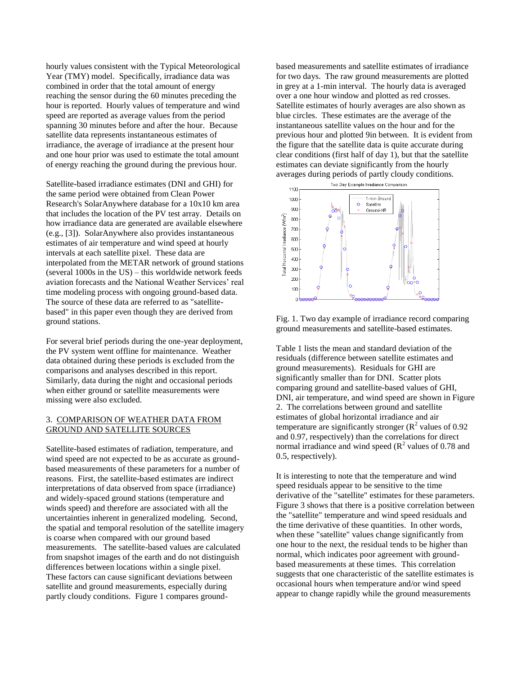hourly values consistent with the Typical Meteorological Year (TMY) model. Specifically, irradiance data was combined in order that the total amount of energy reaching the sensor during the 60 minutes preceding the hour is reported. Hourly values of temperature and wind speed are reported as average values from the period spanning 30 minutes before and after the hour. Because satellite data represents instantaneous estimates of irradiance, the average of irradiance at the present hour and one hour prior was used to estimate the total amount of energy reaching the ground during the previous hour.

Satellite-based irradiance estimates (DNI and GHI) for the same period were obtained from Clean Power Research's SolarAnywhere database for a 10x10 km area that includes the location of the PV test array. Details on how irradiance data are generated are available elsewhere (e.g., [3]). SolarAnywhere also provides instantaneous estimates of air temperature and wind speed at hourly intervals at each satellite pixel. These data are interpolated from the METAR network of ground stations (several 1000s in the US) – this worldwide network feeds aviation forecasts and the National Weather Services' real time modeling process with ongoing ground-based data. The source of these data are referred to as "satellitebased" in this paper even though they are derived from ground stations.

For several brief periods during the one-year deployment, the PV system went offline for maintenance. Weather data obtained during these periods is excluded from the comparisons and analyses described in this report. Similarly, data during the night and occasional periods when either ground or satellite measurements were missing were also excluded.

## 3. COMPARISON OF WEATHER DATA FROM GROUND AND SATELLITE SOURCES

Satellite-based estimates of radiation, temperature, and wind speed are not expected to be as accurate as groundbased measurements of these parameters for a number of reasons. First, the satellite-based estimates are indirect interpretations of data observed from space (irradiance) and widely-spaced ground stations (temperature and winds speed) and therefore are associated with all the uncertainties inherent in generalized modeling. Second, the spatial and temporal resolution of the satellite imagery is coarse when compared with our ground based measurements. The satellite-based values are calculated from snapshot images of the earth and do not distinguish differences between locations within a single pixel. These factors can cause significant deviations between satellite and ground measurements, especially during partly cloudy conditions. Figure 1 compares groundbased measurements and satellite estimates of irradiance for two days. The raw ground measurements are plotted in grey at a 1-min interval. The hourly data is averaged over a one hour window and plotted as red crosses. Satellite estimates of hourly averages are also shown as blue circles. These estimates are the average of the instantaneous satellite values on the hour and for the previous hour and plotted 9in between. It is evident from the figure that the satellite data is quite accurate during clear conditions (first half of day 1), but that the satellite estimates can deviate significantly from the hourly averages during periods of partly cloudy conditions.<br>
We Day Example Irradiance Comparison



Fig. 1. Two day example of irradiance record comparing ground measurements and satellite-based estimates.

Table 1 lists the mean and standard deviation of the residuals (difference between satellite estimates and ground measurements). Residuals for GHI are significantly smaller than for DNI. Scatter plots comparing ground and satellite-based values of GHI, DNI, air temperature, and wind speed are shown in Figure 2. The correlations between ground and satellite estimates of global horizontal irradiance and air temperature are significantly stronger ( $\mathbb{R}^2$  values of 0.92 and 0.97, respectively) than the correlations for direct normal irradiance and wind speed  $(R^2 \text{ values of } 0.78 \text{ and }$ 0.5, respectively).

It is interesting to note that the temperature and wind speed residuals appear to be sensitive to the time derivative of the "satellite" estimates for these parameters. Figure 3 shows that there is a positive correlation between the "satellite" temperature and wind speed residuals and the time derivative of these quantities. In other words, when these "satellite" values change significantly from one hour to the next, the residual tends to be higher than normal, which indicates poor agreement with groundbased measurements at these times. This correlation suggests that one characteristic of the satellite estimates is occasional hours when temperature and/or wind speed appear to change rapidly while the ground measurements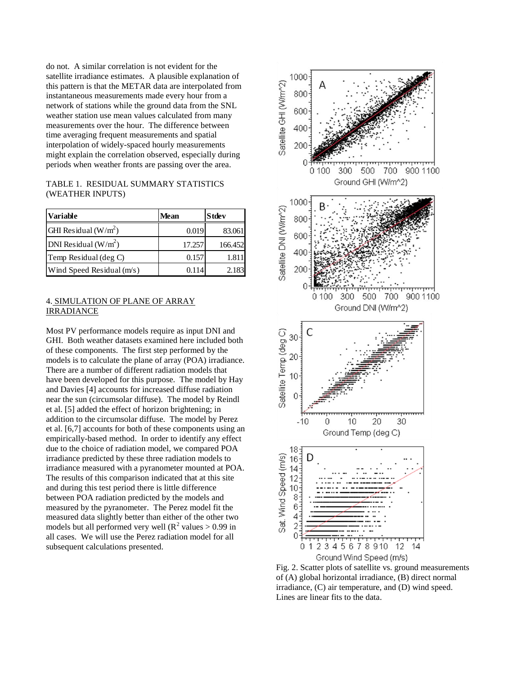do not. A similar correlation is not evident for the satellite irradiance estimates. A plausible explanation of this pattern is that the METAR data are interpolated from instantaneous measurements made every hour from a network of stations while the ground data from the SNL weather station use mean values calculated from many measurements over the hour. The difference between time averaging frequent measurements and spatial interpolation of widely-spaced hourly measurements might explain the correlation observed, especially during periods when weather fronts are passing over the area.

| TABLE 1. RESIDUAL SUMMARY STATISTICS |
|--------------------------------------|
| (WEATHER INPUTS)                     |

| Variable                  | Mean   | <b>Stdev</b> |
|---------------------------|--------|--------------|
| GHI Residual $(W/m^2)$    | 0.019  | 83.061       |
| DNI Residual $(W/m^2)$    | 17.257 | 166.452      |
| Temp Residual (deg C)     | 0.157  | 1.811        |
| Wind Speed Residual (m/s) | 0.114  | 2.183        |

## 4. SIMULATION OF PLANE OF ARRAY IRRADIANCE

Most PV performance models require as input DNI and GHI. Both weather datasets examined here included both of these components. The first step performed by the models is to calculate the plane of array (POA) irradiance. There are a number of different radiation models that have been developed for this purpose. The model by Hay and Davies [4] accounts for increased diffuse radiation near the sun (circumsolar diffuse). The model by Reindl et al. [5] added the effect of horizon brightening; in addition to the circumsolar diffuse. The model by Perez et al. [6,7] accounts for both of these components using an empirically-based method. In order to identify any effect due to the choice of radiation model, we compared POA irradiance predicted by these three radiation models to irradiance measured with a pyranometer mounted at POA. The results of this comparison indicated that at this site and during this test period there is little difference between POA radiation predicted by the models and measured by the pyranometer. The Perez model fit the measured data slightly better than either of the other two models but all performed very well ( $R^2$  values  $> 0.99$  in all cases. We will use the Perez radiation model for all subsequent calculations presented.



Fig. 2. Scatter plots of satellite vs. ground measurements of (A) global horizontal irradiance, (B) direct normal irradiance, (C) air temperature, and (D) wind speed. Lines are linear fits to the data.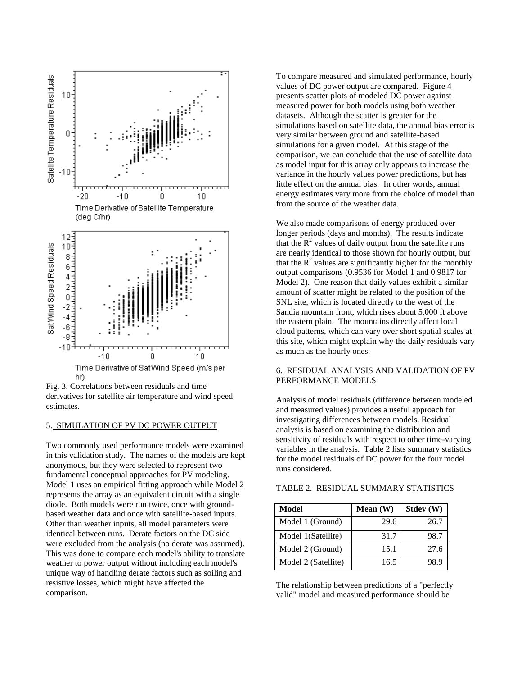

Fig. 3. Correlations between residuals and time derivatives for satellite air temperature and wind speed estimates.

#### 5. SIMULATION OF PV DC POWER OUTPUT

Two commonly used performance models were examined in this validation study. The names of the models are kept anonymous, but they were selected to represent two fundamental conceptual approaches for PV modeling. Model 1 uses an empirical fitting approach while Model 2 represents the array as an equivalent circuit with a single diode. Both models were run twice, once with groundbased weather data and once with satellite-based inputs. Other than weather inputs, all model parameters were identical between runs. Derate factors on the DC side were excluded from the analysis (no derate was assumed). This was done to compare each model's ability to translate weather to power output without including each model's unique way of handling derate factors such as soiling and resistive losses, which might have affected the comparison.

To compare measured and simulated performance, hourly values of DC power output are compared. Figure 4 presents scatter plots of modeled DC power against measured power for both models using both weather datasets. Although the scatter is greater for the simulations based on satellite data, the annual bias error is very similar between ground and satellite-based simulations for a given model. At this stage of the comparison, we can conclude that the use of satellite data as model input for this array only appears to increase the variance in the hourly values power predictions, but has little effect on the annual bias. In other words, annual energy estimates vary more from the choice of model than from the source of the weather data.

We also made comparisons of energy produced over longer periods (days and months). The results indicate that the  $R<sup>2</sup>$  values of daily output from the satellite runs are nearly identical to those shown for hourly output, but that the  $\mathbb{R}^2$  values are significantly higher for the monthly output comparisons (0.9536 for Model 1 and 0.9817 for Model 2). One reason that daily values exhibit a similar amount of scatter might be related to the position of the SNL site, which is located directly to the west of the Sandia mountain front, which rises about 5,000 ft above the eastern plain. The mountains directly affect local cloud patterns, which can vary over short spatial scales at this site, which might explain why the daily residuals vary as much as the hourly ones.

# 6. RESIDUAL ANALYSIS AND VALIDATION OF PV PERFORMANCE MODELS

Analysis of model residuals (difference between modeled and measured values) provides a useful approach for investigating differences between models. Residual analysis is based on examining the distribution and sensitivity of residuals with respect to other time-varying variables in the analysis. Table 2 lists summary statistics for the model residuals of DC power for the four model runs considered.

| Model               | Mean $(W)$ | Stdev (W) |
|---------------------|------------|-----------|
| Model 1 (Ground)    | 29.6       | 26.7      |
| Model 1(Satellite)  | 31.7       | 98.7      |
| Model 2 (Ground)    | 15.1       | 27.6      |
| Model 2 (Satellite) | 16.5       | х ч       |

## TABLE 2. RESIDUAL SUMMARY STATISTICS

The relationship between predictions of a "perfectly valid" model and measured performance should be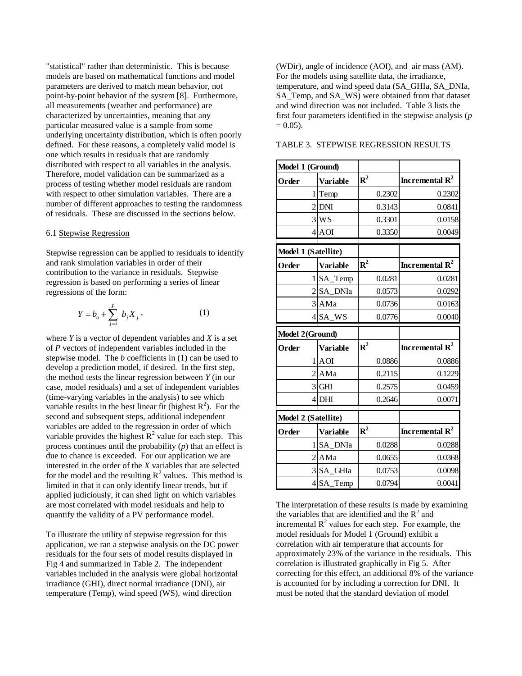"statistical" rather than deterministic. This is because models are based on mathematical functions and model parameters are derived to match mean behavior, not point-by-point behavior of the system [8]. Furthermore, all measurements (weather and performance) are characterized by uncertainties, meaning that any particular measured value is a sample from some underlying uncertainty distribution, which is often poorly defined. For these reasons, a completely valid model is one which results in residuals that are randomly distributed with respect to all variables in the analysis. Therefore, model validation can be summarized as a process of testing whether model residuals are random with respect to other simulation variables. There are a number of different approaches to testing the randomness of residuals. These are discussed in the sections below.

#### 6.1 Stepwise Regression

Stepwise regression can be applied to residuals to identify and rank simulation variables in order of their contribution to the variance in residuals. Stepwise regression is based on performing a series of linear regressions of the form:

$$
Y = b_o + \sum_{j=1}^{P} b_j X_j,
$$
 (1)

where *Y* is a vector of dependent variables and *X* is a set of *P* vectors of independent variables included in the stepwise model. The *b* coefficients in (1) can be used to develop a prediction model, if desired. In the first step, the method tests the linear regression between *Y* (in our case, model residuals) and a set of independent variables (time-varying variables in the analysis) to see which variable results in the best linear fit (highest  $R^2$ ). For the second and subsequent steps, additional independent variables are added to the regression in order of which variable provides the highest  $\mathbb{R}^2$  value for each step. This process continues until the probability (*p*) that an effect is due to chance is exceeded. For our application we are interested in the order of the *X* variables that are selected for the model and the resulting  $R^2$  values. This method is limited in that it can only identify linear trends, but if applied judiciously, it can shed light on which variables are most correlated with model residuals and help to quantify the validity of a PV performance model.

To illustrate the utility of stepwise regression for this application, we ran a stepwise analysis on the DC power residuals for the four sets of model results displayed in Fig 4 and summarized in Table 2. The independent variables included in the analysis were global horizontal irradiance (GHI), direct normal irradiance (DNI), air temperature (Temp), wind speed (WS), wind direction

(WDir), angle of incidence (AOI), and air mass (AM). For the models using satellite data, the irradiance, temperature, and wind speed data (SA\_GHIa, SA\_DNIa, SA Temp, and SA WS) were obtained from that dataset and wind direction was not included. Table 3 lists the first four parameters identified in the stepwise analysis (*p*  $= 0.05$ ).

| Model 1 (Ground)         |                 |                |        |                   |
|--------------------------|-----------------|----------------|--------|-------------------|
| Order                    | <b>Variable</b> | ${\bf R}^2$    |        | Incremental $R^2$ |
| 1                        | Temp            |                | 0.2302 | 0.2302            |
| $\mathfrak{D}$           | <b>DNI</b>      |                | 0.3143 | 0.0841            |
|                          | $3$ WS          |                | 0.3301 | 0.0158            |
| $\overline{\mathcal{L}}$ | AOI             |                | 0.3350 | 0.0049            |
| Model 1 (Satellite)      |                 |                |        |                   |
| Order                    | <b>Variable</b> | ${\bf R}^2$    |        | Incremental $R^2$ |
| 1                        | SA_Temp         |                | 0.0281 | 0.0281            |
|                          | SA DNIa         |                | 0.0573 | 0.0292            |
|                          | 3 AMa           |                | 0.0736 | 0.0163            |
| 4                        | SA WS           |                | 0.0776 | 0.0040            |
| Model 2(Ground)          |                 |                |        |                   |
|                          |                 | $\mathbb{R}^2$ |        | Incremental $R^2$ |
| Order                    | <b>Variable</b> |                |        |                   |
| 1                        | AOI             |                | 0.0886 | 0.0886            |
| $\mathfrak{D}$           | AMa             |                | 0.2115 | 0.1229            |
| 3                        | <b>GHI</b>      |                | 0.2575 | 0.0459            |
| $\overline{4}$           | DHI             |                | 0.2646 | 0.0071            |
| Model 2 (Satellite)      |                 |                |        |                   |
| Order                    | <b>Variable</b> | ${\bf R}^2$    |        | Incremental $R^2$ |
| 1                        | SA DNIa         |                | 0.0288 | 0.0288            |
| $\overline{2}$           | AMa             |                | 0.0655 | 0.0368            |
| 3                        | SA GHIa         |                | 0.0753 | 0.0098            |

TABLE 3. STEPWISE REGRESSION RESULTS

The interpretation of these results is made by examining the variables that are identified and the  $R^2$  and incremental  $R^2$  values for each step. For example, the model residuals for Model 1 (Ground) exhibit a correlation with air temperature that accounts for approximately 23% of the variance in the residuals. This correlation is illustrated graphically in Fig 5. After correcting for this effect, an additional 8% of the variance is accounted for by including a correction for DNI. It must be noted that the standard deviation of model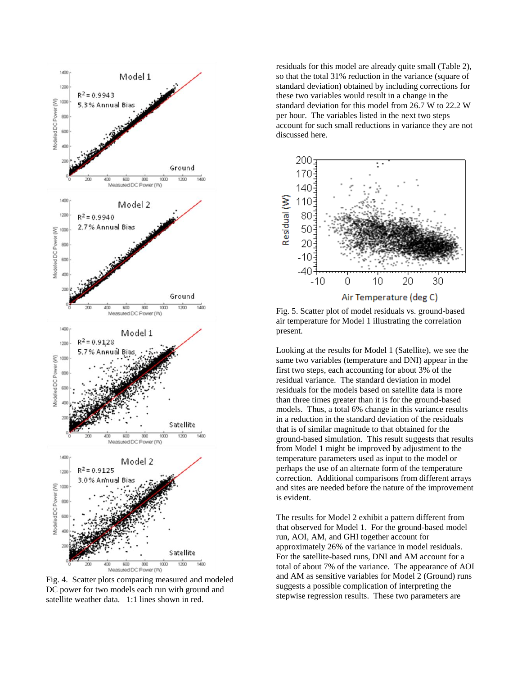

Fig. 4. Scatter plots comparing measured and modeled DC power for two models each run with ground and satellite weather data. 1:1 lines shown in red.

residuals for this model are already quite small (Table 2), so that the total 31% reduction in the variance (square of standard deviation) obtained by including corrections for these two variables would result in a change in the standard deviation for this model from 26.7 W to 22.2 W per hour. The variables listed in the next two steps account for such small reductions in variance they are not discussed here.



Fig. 5. Scatter plot of model residuals vs. ground-based air temperature for Model 1 illustrating the correlation present.

Looking at the results for Model 1 (Satellite), we see the same two variables (temperature and DNI) appear in the first two steps, each accounting for about 3% of the residual variance. The standard deviation in model residuals for the models based on satellite data is more than three times greater than it is for the ground-based models. Thus, a total 6% change in this variance results in a reduction in the standard deviation of the residuals that is of similar magnitude to that obtained for the ground-based simulation. This result suggests that results from Model 1 might be improved by adjustment to the temperature parameters used as input to the model or perhaps the use of an alternate form of the temperature correction. Additional comparisons from different arrays and sites are needed before the nature of the improvement is evident.

The results for Model 2 exhibit a pattern different from that observed for Model 1. For the ground-based model run, AOI, AM, and GHI together account for approximately 26% of the variance in model residuals. For the satellite-based runs, DNI and AM account for a total of about 7% of the variance. The appearance of AOI and AM as sensitive variables for Model 2 (Ground) runs suggests a possible complication of interpreting the stepwise regression results. These two parameters are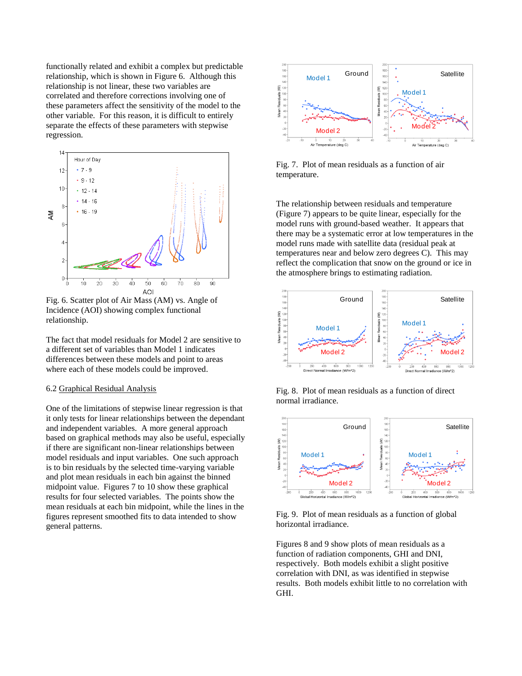functionally related and exhibit a complex but predictable relationship, which is shown in Figure 6. Although this relationship is not linear, these two variables are correlated and therefore corrections involving one of these parameters affect the sensitivity of the model to the other variable. For this reason, it is difficult to entirely separate the effects of these parameters with stepwise regression.



Fig. 6. Scatter plot of Air Mass (AM) vs. Angle of Incidence (AOI) showing complex functional relationship.

The fact that model residuals for Model 2 are sensitive to a different set of variables than Model 1 indicates differences between these models and point to areas where each of these models could be improved.

#### 6.2 Graphical Residual Analysis

One of the limitations of stepwise linear regression is that it only tests for linear relationships between the dependant and independent variables. A more general approach based on graphical methods may also be useful, especially if there are significant non-linear relationships between model residuals and input variables. One such approach is to bin residuals by the selected time-varying variable and plot mean residuals in each bin against the binned midpoint value. Figures 7 to 10 show these graphical results for four selected variables. The points show the mean residuals at each bin midpoint, while the lines in the figures represent smoothed fits to data intended to show general patterns.



Fig. 7. Plot of mean residuals as a function of air temperature.

The relationship between residuals and temperature (Figure 7) appears to be quite linear, especially for the model runs with ground-based weather. It appears that there may be a systematic error at low temperatures in the model runs made with satellite data (residual peak at temperatures near and below zero degrees C). This may reflect the complication that snow on the ground or ice in the atmosphere brings to estimating radiation.



Fig. 8. Plot of mean residuals as a function of direct normal irradiance.



Fig. 9. Plot of mean residuals as a function of global horizontal irradiance.

Figures 8 and 9 show plots of mean residuals as a function of radiation components, GHI and DNI, respectively. Both models exhibit a slight positive correlation with DNI, as was identified in stepwise results. Both models exhibit little to no correlation with GHI.